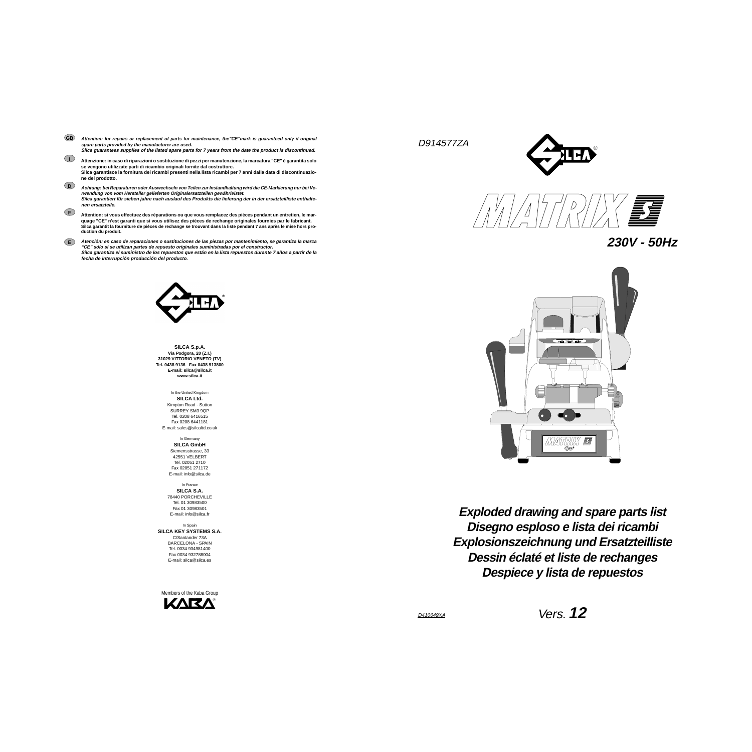D914577ZA







**Disegno esploso e lista dei ricambi Exploded drawing and spare parts list Explosionszeichnung und Ersatzteilliste Dessin éclaté et liste de rechanges Despiece y lista de repuestos**

**SILCA S.p.A. Via Podgora, 20 (Z.I.) 31029 VITTORIO VENETO (TV) Tel. 0438 9136 Fax 0438 913800E-mail: silca@silca.it www.silca.it**

> In the United Kingdom **SILCA Ltd.** Kimpton Road - Sutton SURREY SM3 9QPTel. 0208 6416515Fax 0208 6441181E-mail: sales@silcaltd.co.uk

> > In Germany

**SILCA GmbH** Siemensstrasse, 33 42551 VELBERT Tel. 02051 2710 Fax 02051 271172E-mail: info@silca.de

In France **SILCA S.A.** 78440 PORCHEVILLE Tel. 01 30983500Fax 01 30983501E-mail: info@silca.fr

- Attention: for repairs or replacement of parts for maintenance, the"CE"mark is guaranteed only if original **spare parts provided by the manufacturer are used. Silca guarantees supplies of the listed spare parts for 7 years from the date the product is discontinued. GB**
- **I** Attenzione: in caso di riparazioni o sostituzione di pezzi per manutenzione, la marcatura "CE" è garantita solo **se vengono utilizzate parti di ricambio originali fornite dal costruttore.** Silca garantisce la fornitura dei ricambi presenti nella lista ricambi per 7 anni dalla data di discontinuazio**ne del prodotto.**
- **D** Achtung: bei Reparaturen oder Auswechseln von Teilen zur Instandhaltung wird die CE-Markierung nur bei Ve**rwendung von vom Hersteller gelieferten Originalersatzteilen gewährleistet.** Silca garantiert für sieben jahre nach auslauf des Produkts die lieferung der in der ersatzteilliste enthalte**nen ersatzteile.**

In Spain **SILCA KEY SYSTEMS S.A.** C/Santander 73A BARCELONA - SPAIN Tel. 0034 934981400Fax 0034 932788004E-mail: silca@silca.es

- Attention: si vous effectuez des réparations ou que vous remplacez des pièces pendant un entretien, le mar**quage "CE" n'est garanti que si vous utilisez des pièces de rechange originales fournies par le fabricant.** Silca garantit la fourniture de pièces de rechange se trouvant dans la liste pendant 7 ans après le mise hors pro**duction du produit.**
- **E** Atención: en caso de reparaciones o sustituciones de las piezas por mantenimiento, se garantiza la marca **"CE" sólo si se utilizan partes de repuesto originales suministradas por el constructor.** Silca garantiza el suministro de los repuestos que están en la lista repuestos durante 7 años a partir de la **fecha de interrupción producción del producto.**



**F**

Members of the Kaba GroupКЛКЛ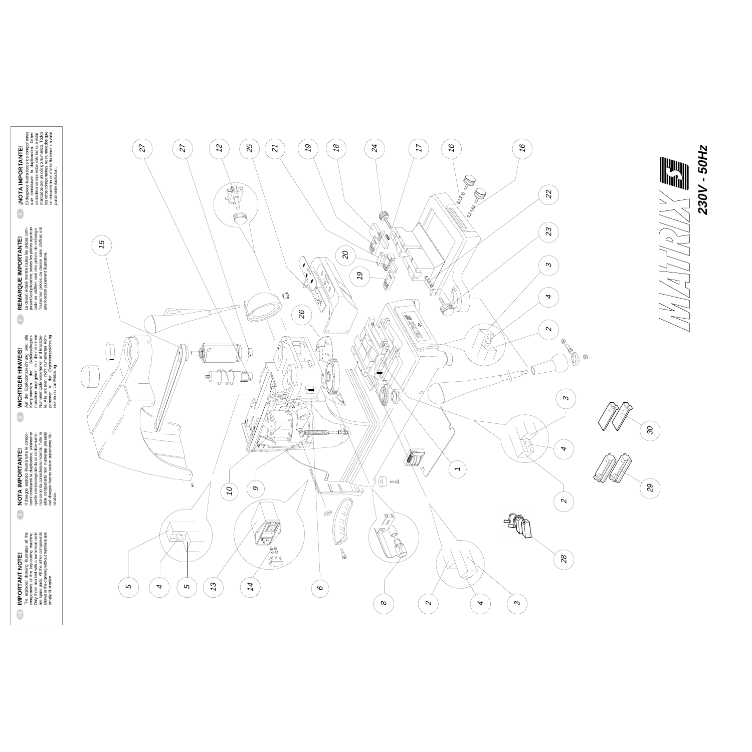





$$
\left\| \left( \frac{1}{\sqrt{2}} \right) \right\|
$$